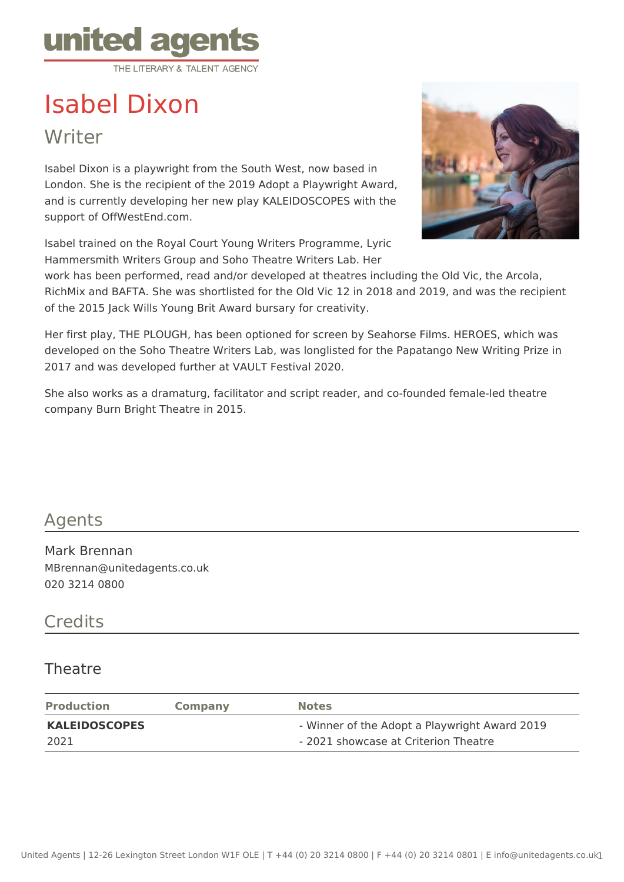

## Isabel Dixon

Writer

Isabel Dixon is a playwright from the South West, now based in London. She is the recipient of the 2019 Adopt a Playwright Award, and is currently developing her new play KALEIDOSCOPES with the support of OffWestEnd.com.

Isabel trained on the Royal Court Young Writers Programme, Lyric Hammersmith Writers Group and Soho Theatre Writers Lab. Her



work has been performed, read and/or developed at theatres including the Old Vic, the Arcola, RichMix and BAFTA. She was shortlisted for the Old Vic 12 in 2018 and 2019, and was the recipient of the 2015 Jack Wills Young Brit Award bursary for creativity.

Her first play, THE PLOUGH, has been optioned for screen by Seahorse Films. HEROES, which was developed on the Soho Theatre Writers Lab, was longlisted for the Papatango New Writing Prize in 2017 and was developed further at VAULT Festival 2020.

She also works as a dramaturg, facilitator and script reader, and co-founded female-led theatre company Burn Bright Theatre in 2015.

## Agents

Mark Brennan MBrennan@unitedagents.co.uk 020 3214 0800

## **Credits**

## Theatre

| <b>Production</b>    | <b>Company</b> | <b>Notes</b>                                  |
|----------------------|----------------|-----------------------------------------------|
| <b>KALEIDOSCOPES</b> |                | - Winner of the Adopt a Playwright Award 2019 |
| 2021                 |                | - 2021 showcase at Criterion Theatre          |